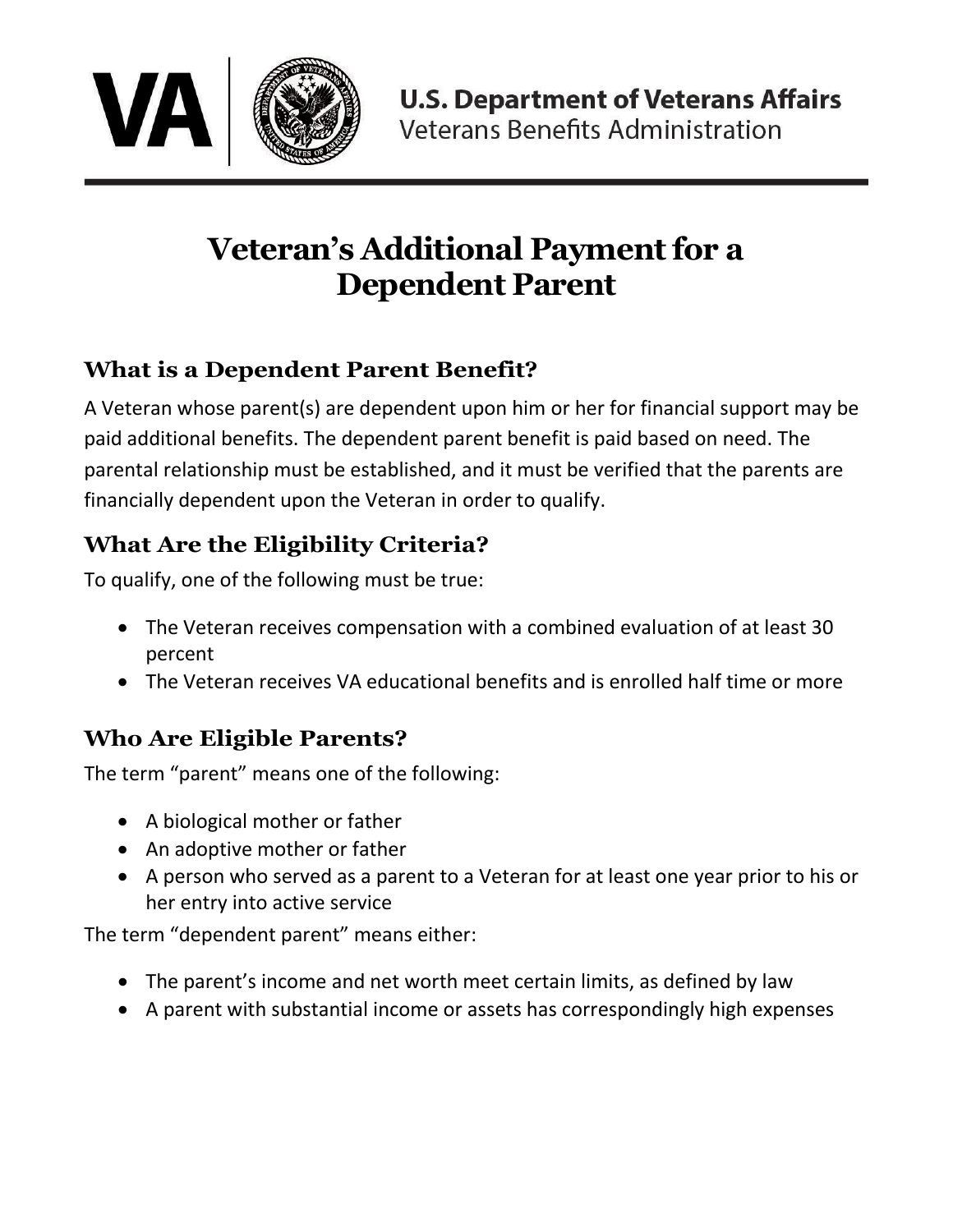

# **Veteran's Additional Payment for a Dependent Parent**

### **What is a Dependent Parent Benefit?**

A Veteran whose parent(s) are dependent upon him or her for financial support may be paid additional benefits. The dependent parent benefit is paid based on need. The parental relationship must be established, and it must be verified that the parents are financially dependent upon the Veteran in order to qualify.

## **What Are the Eligibility Criteria?**

To qualify, one of the following must be true:

- The Veteran receives compensation with a combined evaluation of at least 30 percent
- The Veteran receives VA educational benefits and is enrolled half time or more

## **Who Are Eligible Parents?**

The term "parent" means one of the following:

- A biological mother or father
- An adoptive mother or father
- A person who served as a parent to a Veteran for at least one year prior to his or her entry into active service

The term "dependent parent" means either:

- The parent's income and net worth meet certain limits, as defined by law
- A parent with substantial income or assets has correspondingly high expenses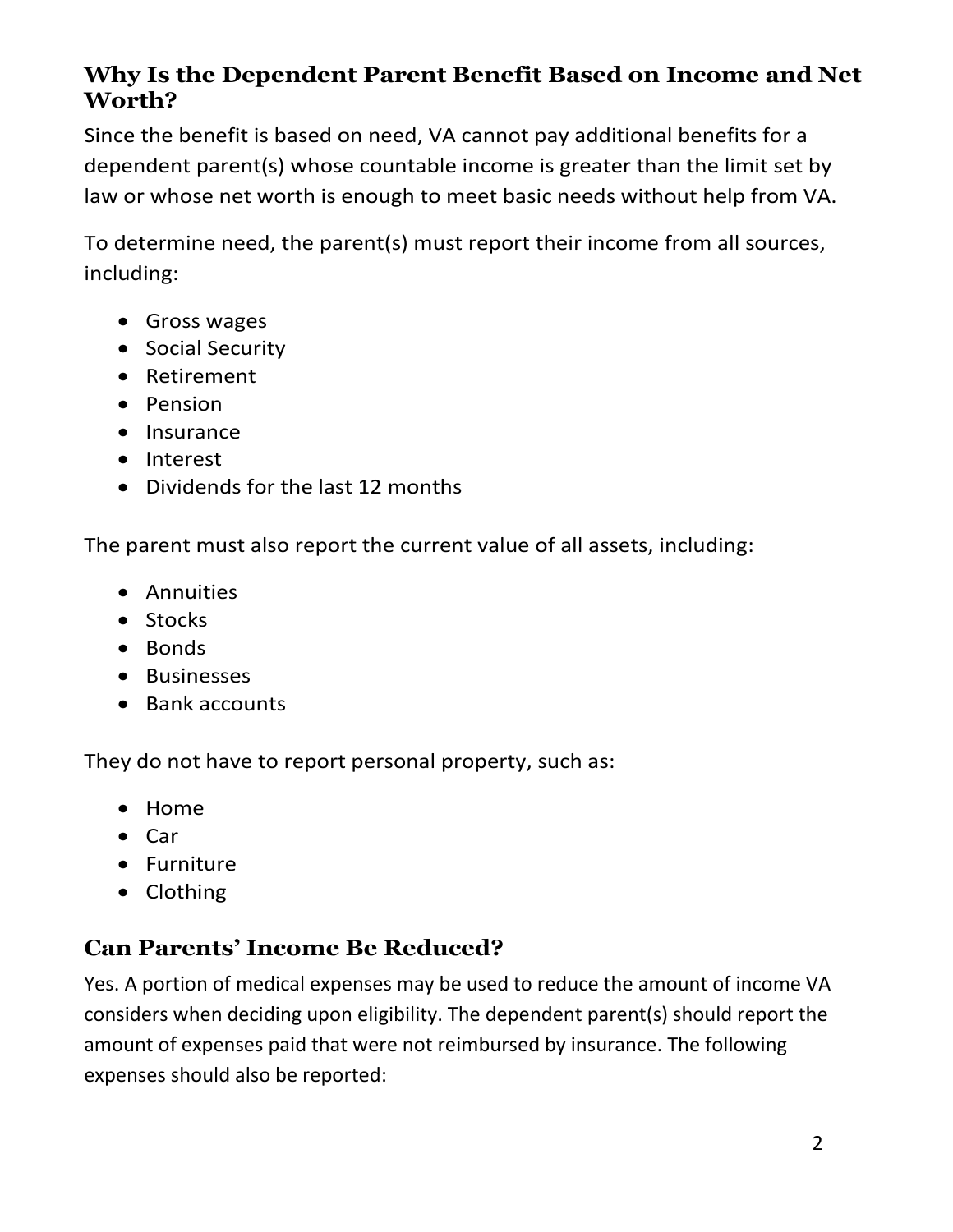#### **Why Is the Dependent Parent Benefit Based on Income and Net Worth?**

Since the benefit is based on need, VA cannot pay additional benefits for a dependent parent(s) whose countable income is greater than the limit set by law or whose net worth is enough to meet basic needs without help from VA.

To determine need, the parent(s) must report their income from all sources, including:

- Gross wages
- Social Security
- Retirement
- Pension
- Insurance
- Interest
- Dividends for the last 12 months

The parent must also report the current value of all assets, including:

- Annuities
- Stocks
- Bonds
- Businesses
- Bank accounts

They do not have to report personal property, such as:

- Home
- Car
- Furniture
- Clothing

## **Can Parents' Income Be Reduced?**

Yes. A portion of medical expenses may be used to reduce the amount of income VA considers when deciding upon eligibility. The dependent parent(s) should report the amount of expenses paid that were not reimbursed by insurance. The following expenses should also be reported: